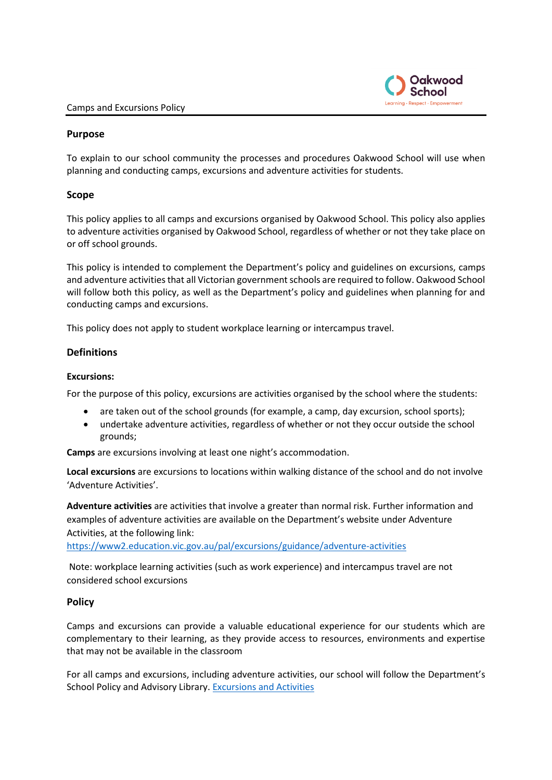

## **Purpose**

To explain to our school community the processes and procedures Oakwood School will use when planning and conducting camps, excursions and adventure activities for students.

## **Scope**

This policy applies to all camps and excursions organised by Oakwood School. This policy also applies to adventure activities organised by Oakwood School, regardless of whether or not they take place on or off school grounds.

This policy is intended to complement the Department's policy and guidelines on excursions, camps and adventure activities that all Victorian government schools are required to follow. Oakwood School will follow both this policy, as well as the Department's policy and guidelines when planning for and conducting camps and excursions.

This policy does not apply to student workplace learning or intercampus travel.

## **Definitions**

## **Excursions:**

For the purpose of this policy, excursions are activities organised by the school where the students:

- are taken out of the school grounds (for example, a camp, day excursion, school sports);
- undertake adventure activities, regardless of whether or not they occur outside the school grounds;

**Camps** are excursions involving at least one night's accommodation.

**Local excursions** are excursions to locations within walking distance of the school and do not involve 'Adventure Activities'.

**Adventure activities** are activities that involve a greater than normal risk. Further information and examples of adventure activities are available on the Department's website under Adventure Activities, at the following link:

<https://www2.education.vic.gov.au/pal/excursions/guidance/adventure-activities>

Note: workplace learning activities (such as work experience) and intercampus travel are not considered school excursions

## **Policy**

Camps and excursions can provide a valuable educational experience for our students which are complementary to their learning, as they provide access to resources, environments and expertise that may not be available in the classroom

For all camps and excursions, including adventure activities, our school will follow the Department's School Policy and Advisory Library. [Excursions and Activities](http://www.education.vic.gov.au/school/principals/spag/safety/pages/excursions.aspx)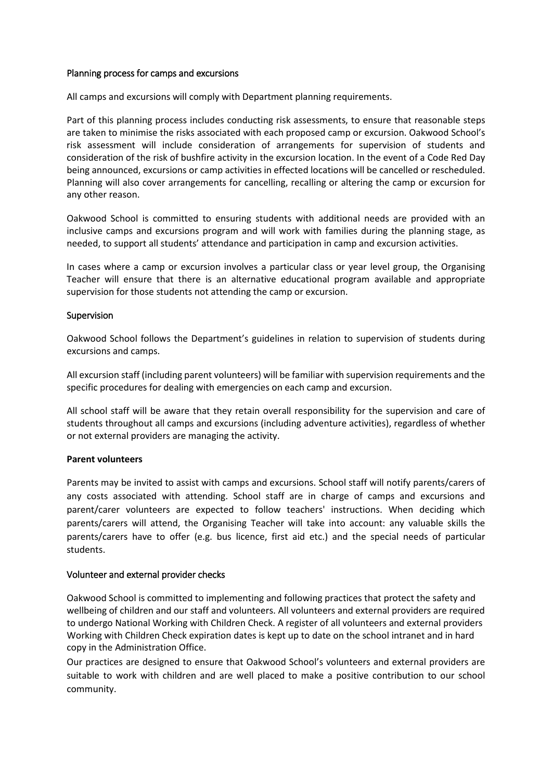## Planning process for camps and excursions

All camps and excursions will comply with Department planning requirements.

Part of this planning process includes conducting risk assessments, to ensure that reasonable steps are taken to minimise the risks associated with each proposed camp or excursion. Oakwood School's risk assessment will include consideration of arrangements for supervision of students and consideration of the risk of bushfire activity in the excursion location. In the event of a Code Red Day being announced, excursions or camp activities in effected locations will be cancelled or rescheduled. Planning will also cover arrangements for cancelling, recalling or altering the camp or excursion for any other reason.

Oakwood School is committed to ensuring students with additional needs are provided with an inclusive camps and excursions program and will work with families during the planning stage, as needed, to support all students' attendance and participation in camp and excursion activities.

In cases where a camp or excursion involves a particular class or year level group, the Organising Teacher will ensure that there is an alternative educational program available and appropriate supervision for those students not attending the camp or excursion.

## Supervision

Oakwood School follows the Department's guidelines in relation to supervision of students during excursions and camps.

All excursion staff (including parent volunteers) will be familiar with supervision requirements and the specific procedures for dealing with emergencies on each camp and excursion.

All school staff will be aware that they retain overall responsibility for the supervision and care of students throughout all camps and excursions (including adventure activities), regardless of whether or not external providers are managing the activity.

## **Parent volunteers**

Parents may be invited to assist with camps and excursions. School staff will notify parents/carers of any costs associated with attending. School staff are in charge of camps and excursions and parent/carer volunteers are expected to follow teachers' instructions. When deciding which parents/carers will attend, the Organising Teacher will take into account: any valuable skills the parents/carers have to offer (e.g. bus licence, first aid etc.) and the special needs of particular students.

## Volunteer and external provider checks

Oakwood School is committed to implementing and following practices that protect the safety and wellbeing of children and our staff and volunteers. All volunteers and external providers are required to undergo National Working with Children Check. A register of all volunteers and external providers Working with Children Check expiration dates is kept up to date on the school intranet and in hard copy in the Administration Office.

Our practices are designed to ensure that Oakwood School's volunteers and external providers are suitable to work with children and are well placed to make a positive contribution to our school community.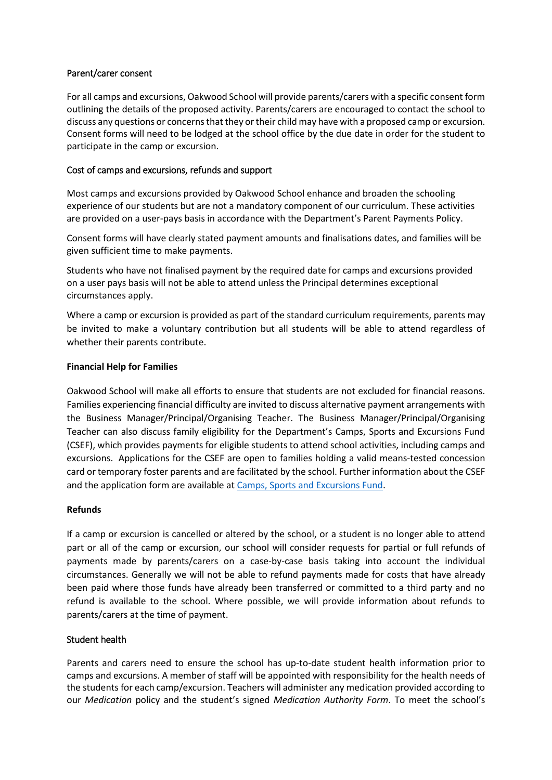## Parent/carer consent

For all camps and excursions, Oakwood School will provide parents/carers with a specific consent form outlining the details of the proposed activity. Parents/carers are encouraged to contact the school to discuss any questions or concerns that they or their child may have with a proposed camp or excursion. Consent forms will need to be lodged at the school office by the due date in order for the student to participate in the camp or excursion.

## Cost of camps and excursions, refunds and support

Most camps and excursions provided by Oakwood School enhance and broaden the schooling experience of our students but are not a mandatory component of our curriculum. These activities are provided on a user-pays basis in accordance with the Department's Parent Payments Policy.

Consent forms will have clearly stated payment amounts and finalisations dates, and families will be given sufficient time to make payments.

Students who have not finalised payment by the required date for camps and excursions provided on a user pays basis will not be able to attend unless the Principal determines exceptional circumstances apply.

Where a camp or excursion is provided as part of the standard curriculum requirements, parents may be invited to make a voluntary contribution but all students will be able to attend regardless of whether their parents contribute.

## **Financial Help for Families**

Oakwood School will make all efforts to ensure that students are not excluded for financial reasons. Families experiencing financial difficulty are invited to discuss alternative payment arrangements with the Business Manager/Principal/Organising Teacher. The Business Manager/Principal/Organising Teacher can also discuss family eligibility for the Department's Camps, Sports and Excursions Fund (CSEF), which provides payments for eligible students to attend school activities, including camps and excursions. Applications for the CSEF are open to families holding a valid means-tested concession card or temporary foster parents and are facilitated by the school. Further information about the CSEF and the application form are available a[t Camps, Sports and Excursions Fund.](https://www2.education.vic.gov.au/pal/camps-sports-and-excursions-fund/policy)

## **Refunds**

If a camp or excursion is cancelled or altered by the school, or a student is no longer able to attend part or all of the camp or excursion, our school will consider requests for partial or full refunds of payments made by parents/carers on a case-by-case basis taking into account the individual circumstances. Generally we will not be able to refund payments made for costs that have already been paid where those funds have already been transferred or committed to a third party and no refund is available to the school. Where possible, we will provide information about refunds to parents/carers at the time of payment.

## Student health

Parents and carers need to ensure the school has up-to-date student health information prior to camps and excursions. A member of staff will be appointed with responsibility for the health needs of the students for each camp/excursion. Teachers will administer any medication provided according to our *Medication* policy and the student's signed *Medication Authority Form*. To meet the school's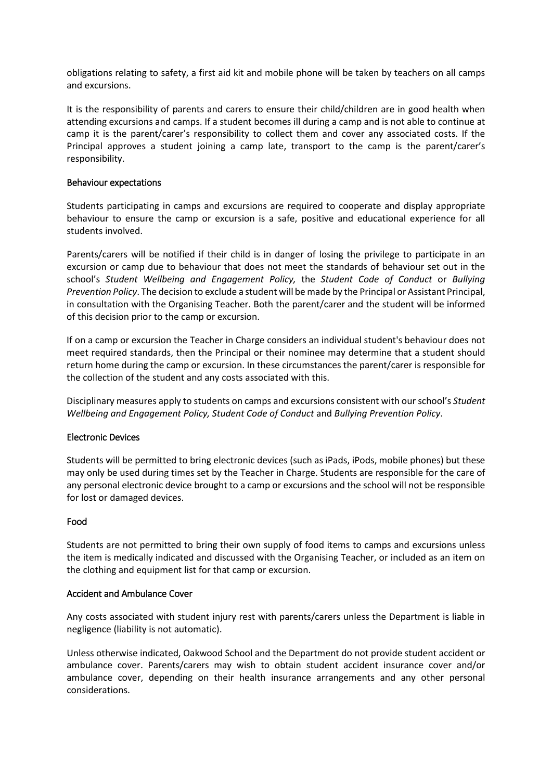obligations relating to safety, a first aid kit and mobile phone will be taken by teachers on all camps and excursions.

It is the responsibility of parents and carers to ensure their child/children are in good health when attending excursions and camps. If a student becomes ill during a camp and is not able to continue at camp it is the parent/carer's responsibility to collect them and cover any associated costs. If the Principal approves a student joining a camp late, transport to the camp is the parent/carer's responsibility.

## Behaviour expectations

Students participating in camps and excursions are required to cooperate and display appropriate behaviour to ensure the camp or excursion is a safe, positive and educational experience for all students involved.

Parents/carers will be notified if their child is in danger of losing the privilege to participate in an excursion or camp due to behaviour that does not meet the standards of behaviour set out in the school's *Student Wellbeing and Engagement Policy,* the *Student Code of Conduct* or *Bullying Prevention Policy*. The decision to exclude a student will be made by the Principal or Assistant Principal, in consultation with the Organising Teacher. Both the parent/carer and the student will be informed of this decision prior to the camp or excursion.

If on a camp or excursion the Teacher in Charge considers an individual student's behaviour does not meet required standards, then the Principal or their nominee may determine that a student should return home during the camp or excursion. In these circumstances the parent/carer is responsible for the collection of the student and any costs associated with this.

Disciplinary measures apply to students on camps and excursions consistent with our school's *Student Wellbeing and Engagement Policy, Student Code of Conduct* and *Bullying Prevention Policy*.

## Electronic Devices

Students will be permitted to bring electronic devices (such as iPads, iPods, mobile phones) but these may only be used during times set by the Teacher in Charge. Students are responsible for the care of any personal electronic device brought to a camp or excursions and the school will not be responsible for lost or damaged devices.

## Food

Students are not permitted to bring their own supply of food items to camps and excursions unless the item is medically indicated and discussed with the Organising Teacher, or included as an item on the clothing and equipment list for that camp or excursion.

#### Accident and Ambulance Cover

Any costs associated with student injury rest with parents/carers unless the Department is liable in negligence (liability is not automatic).

Unless otherwise indicated, Oakwood School and the Department do not provide student accident or ambulance cover. Parents/carers may wish to obtain student accident insurance cover and/or ambulance cover, depending on their health insurance arrangements and any other personal considerations.